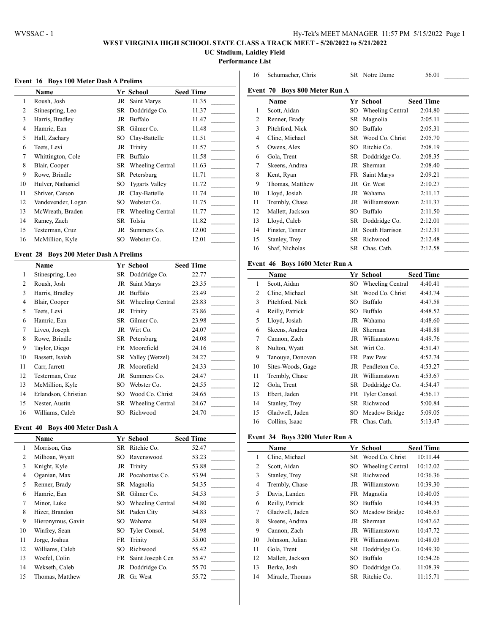$\overline{a}$ 

## **WEST VIRGINIA HIGH SCHOOL STATE CLASS A TRACK MEET - 5/20/2022 to 5/21/2022**

**UC Stadium, Laidley Field**

**Performance List**

## **Event 16 Boys 100 Meter Dash A Prelims**

|                | Name               |    | Yr School             | <b>Seed Time</b> |
|----------------|--------------------|----|-----------------------|------------------|
| 1              | Roush, Josh        | JR | Saint Marys           | 11.35            |
| $\overline{c}$ | Stinespring, Leo   |    | SR Doddridge Co.      | 11.37            |
| 3              | Harris, Bradley    | JR | Buffalo               | 11.47            |
| $\overline{4}$ | Hamric, Ean        | SR | Gilmer Co.            | 11.48            |
| 5              | Hall, Zachary      | SО | Clay-Battelle         | 11.51            |
| 6              | Teets, Levi        | JR | Trinity               | 11.57            |
| 7              | Whittington, Cole  | FR | Buffalo               | 11.58            |
| 8              | Blair, Cooper      |    | SR Wheeling Central   | 11.63            |
| 9              | Rowe, Brindle      |    | SR Petersburg         | 11.71            |
| 10             | Hulver, Nathaniel  | SO | <b>Tygarts Valley</b> | 11.72            |
| 11             | Shriver, Carson    | JR | Clay-Battelle         | 11.74            |
| 12             | Vandevender, Logan | SО | Webster Co.           | 11.75            |
| 13             | McWreath, Braden   |    | FR Wheeling Central   | 11.77            |
| 14             | Ramey, Zach        | SR | Tolsia                | 11.82            |
| 15             | Testerman, Cruz    | JR | Summers Co.           | 12.00            |
| 16             | McMillion, Kyle    | SО | Webster Co.           | 12.01            |

## **Event 28 Boys 200 Meter Dash A Prelims**

|    | Name                 |    | Yr School           | <b>Seed Time</b> |
|----|----------------------|----|---------------------|------------------|
| 1  | Stinespring, Leo     |    | SR Doddridge Co.    | 22.77            |
| 2  | Roush, Josh          | JR | Saint Marys         | 23.35            |
| 3  | Harris, Bradley      | JR | Buffalo             | 23.49            |
| 4  | Blair, Cooper        |    | SR Wheeling Central | 23.83            |
| 5  | Teets, Levi          | JR | Trinity             | 23.86            |
| 6  | Hamric, Ean          | SR | Gilmer Co.          | 23.98            |
| 7  | Liveo, Joseph        | JR | Wirt Co.            | 24.07            |
| 8  | Rowe, Brindle        |    | SR Petersburg       | 24.08            |
| 9  | Taylor, Diego        |    | FR Moorefield       | 24.16            |
| 10 | Bassett, Isaiah      |    | SR Valley (Wetzel)  | 24.27            |
| 11 | Carr, Jarrett        | JR | Moorefield          | 24.33            |
| 12 | Testerman, Cruz      | JR | Summers Co.         | 24.47            |
| 13 | McMillion, Kyle      | SO | Webster Co.         | 24.55            |
| 14 | Erlandson, Christian | SO | Wood Co. Christ     | 24.65            |
| 15 | Nester, Austin       | SR | Wheeling Central    | 24.67            |
| 16 | Williams, Caleb      | SО | Richwood            | 24.70            |

#### **Event 40 Boys 400 Meter Dash A**

|    | Name              |     | Yr School           | <b>Seed Time</b> |
|----|-------------------|-----|---------------------|------------------|
| 1  | Morrison, Gus     |     | SR Ritchie Co.      | 52.47            |
| 2  | Milhoan, Wyatt    | SO. | Ravenswood          | 53.23            |
| 3  | Knight, Kyle      |     | JR Trinity          | 53.88            |
| 4  | Oganian, Max      | JR  | Pocahontas Co.      | 53.94            |
| 5  | Renner, Brady     |     | SR Magnolia         | 54.35            |
| 6  | Hamric, Ean       |     | SR Gilmer Co.       | 54.53            |
| 7  | Minor, Luke       |     | SO Wheeling Central | 54.80            |
| 8  | Hizer, Brandon    |     | SR Paden City       | 54.83            |
| 9  | Hieronymus, Gavin | SO. | Wahama              | 54.89            |
| 10 | Winfrey, Sean     | SO. | Tyler Consol.       | 54.98            |
| 11 | Jorge, Joshua     |     | FR Trinity          | 55.00            |
| 12 | Williams, Caleb   | SO  | Richwood            | 55.42            |
| 13 | Woefel, Colin     | FR  | Saint Joseph Cen    | 55.47            |
| 14 | Wekseth, Caleb    |     | JR Doddridge Co.    | 55.70            |
| 15 | Thomas, Matthew   | JR  | Gr. West            | 55.72            |
|    |                   |     |                     |                  |

|    | Name             |           | Yr School        | <b>Seed Time</b> |
|----|------------------|-----------|------------------|------------------|
| 1  | Scott, Aidan     | SО        | Wheeling Central | 2:04.80          |
| 2  | Renner, Brady    | <b>SR</b> | Magnolia         | 2:05.11          |
| 3  | Pitchford, Nick  | SO        | Buffalo          | 2:05.31          |
| 4  | Cline, Michael   | SR        | Wood Co. Christ  | 2:05.70          |
| 5  | Owens, Alex      | SO        | Ritchie Co.      | 2:08.19          |
| 6  | Gola, Trent      | SR        | Doddridge Co.    | 2:08.35          |
| 7  | Skeens, Andrea   | JR        | Sherman          | 2:08.40          |
| 8  | Kent, Ryan       | FR        | Saint Marys      | 2:09.21          |
| 9  | Thomas, Matthew  | JR        | Gr. West         | 2:10.27          |
| 10 | Lloyd, Josiah    | JR        | Wahama           | 2:11.17          |
| 11 | Trembly, Chase   | JR        | Williamstown     | 2:11.37          |
| 12 | Mallett, Jackson | SO        | Buffalo          | 2:11.50          |
| 13 | Lloyd, Caleb     | SR        | Doddridge Co.    | 2:12.01          |
| 14 | Finster, Tanner  | JR        | South Harrison   | 2:12.31          |
| 15 | Stanley, Trey    | SR        | Richwood         | 2:12.48          |
| 16 | Shaf, Nicholas   |           | SR Chas. Cath.   | 2:12.58          |

Schumacher, Chris SR Notre Dame 56.01 \_\_\_\_\_\_\_\_\_

## **Event 46 Boys 1600 Meter Run A**

|                | Name              |     | Yr School        | <b>Seed Time</b> |
|----------------|-------------------|-----|------------------|------------------|
| 1              | Scott, Aidan      | SO. | Wheeling Central | 4:40.41          |
| $\overline{c}$ | Cline, Michael    | SR  | Wood Co. Christ  | 4:43.74          |
| 3              | Pitchford, Nick   | SO  | Buffalo          | 4:47.58          |
| 4              | Reilly, Patrick   | SΟ  | Buffalo          | 4:48.52          |
| 5              | Lloyd, Josiah     | JR  | Wahama           | 4:48.60          |
| 6              | Skeens, Andrea    | JR  | Sherman          | 4:48.88          |
| 7              | Cannon, Zach      | JR  | Williamstown     | 4:49.76          |
| 8              | Nulton, Wyatt     | SR  | Wirt Co.         | 4:51.47          |
| 9              | Tanouye, Donovan  | FR  | Paw Paw          | 4:52.74          |
| 10             | Sites-Woods, Gage |     | JR Pendleton Co. | 4:53.27          |
| 11             | Trembly, Chase    | JR  | Williamstown     | 4:53.67          |
| 12             | Gola, Trent       | SR  | Doddridge Co.    | 4:54.47          |
| 13             | Ebert, Jaden      | FR  | Tyler Consol.    | 4:56.17          |
| 14             | Stanley, Trey     | SR  | Richwood         | 5:00.84          |
| 15             | Gladwell, Jaden   | SO. | Meadow Bridge    | 5:09.05          |
| 16             | Collins, Isaac    | FR  | Chas. Cath.      | 5:13.47          |

#### **Event 34 Boys 3200 Meter Run A**

|    | <b>Name</b>      |     | Yr School        | <b>Seed Time</b> |
|----|------------------|-----|------------------|------------------|
| 1  | Cline, Michael   | SR  | Wood Co. Christ  | 10:11.44         |
| 2  | Scott, Aidan     | SO  | Wheeling Central | 10:12.02         |
| 3  | Stanley, Trey    | SR. | Richwood         | 10:36.36         |
| 4  | Trembly, Chase   | JR  | Williamstown     | 10:39.30         |
| 5  | Davis, Landen    | FR  | Magnolia         | 10:40.05         |
| 6  | Reilly, Patrick  | SO. | Buffalo          | 10:44.35         |
| 7  | Gladwell, Jaden  |     | SO Meadow Bridge | 10:46.63         |
| 8  | Skeens, Andrea   | JR  | Sherman          | 10:47.62         |
| 9  | Cannon, Zach     | JR  | Williamstown     | 10:47.72         |
| 10 | Johnson, Julian  | FR  | Williamstown     | 10:48.03         |
| 11 | Gola, Trent      |     | SR Doddridge Co. | 10:49.30         |
| 12 | Mallett, Jackson | SO. | Buffalo          | 10:54.26         |
| 13 | Berke, Josh      | SO. | Doddridge Co.    | 11:08.39         |
| 14 | Miracle, Thomas  | SR  | Ritchie Co.      | 11:15.71         |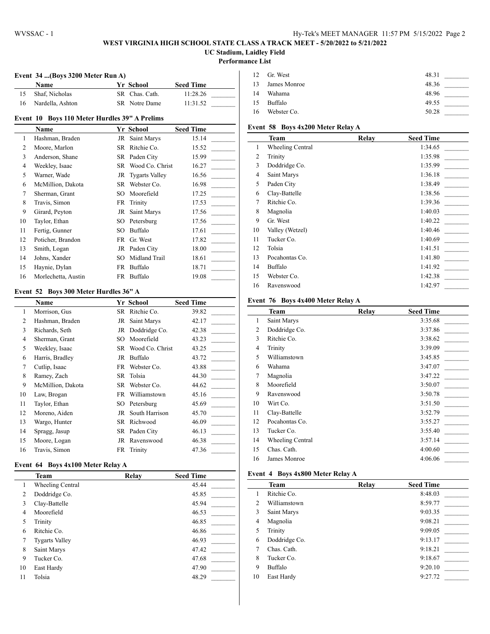### **WEST VIRGINIA HIGH SCHOOL STATE CLASS A TRACK MEET - 5/20/2022 to 5/21/2022 UC Stadium, Laidley Field**

#### **Performance List**

 $\overline{a}$ 

 $\overline{a}$ 

### **Event 34 ...(Boys 3200 Meter Run A)**

| <b>Name</b>      | Yr School      | <b>Seed Time</b> |  |
|------------------|----------------|------------------|--|
| Shaf. Nicholas   | SR Chas. Cath. | 11:28.26         |  |
| Nardella, Ashton | SR Notre Dame  | 11:31.52         |  |

## **Event 10 Boys 110 Meter Hurdles 39" A Prelims**

|    | Name                |     | Yr School         | <b>Seed Time</b> |
|----|---------------------|-----|-------------------|------------------|
| 1  | Hashman, Braden     | JR  | Saint Marys       | 15.14            |
| 2  | Moore, Marlon       | SR  | Ritchie Co.       | 15.52            |
| 3  | Anderson, Shane     |     | SR Paden City     | 15.99            |
| 4  | Weekley, Isaac      | SR  | Wood Co. Christ   | 16.27            |
| 5  | Warner, Wade        |     | JR Tygarts Valley | 16.56            |
| 6  | McMillion, Dakota   | SR  | Webster Co.       | 16.98            |
| 7  | Sherman, Grant      | SO. | Moorefield        | 17.25            |
| 8  | Travis, Simon       | FR  | Trinity           | 17.53            |
| 9  | Girard, Peyton      | JR  | Saint Marys       | 17.56            |
| 10 | Taylor, Ethan       | SO. | Petersburg        | 17.56            |
| 11 | Fertig, Gunner      | SО  | Buffalo           | 17.61            |
| 12 | Poticher, Brandon   | FR  | Gr. West          | 17.82            |
| 13 | Smith, Logan        |     | JR Paden City     | 18.00            |
| 14 | Johns, Xander       | SO. | Midland Trail     | 18.61            |
| 15 | Haynie, Dylan       |     | FR Buffalo        | 18.71            |
| 16 | Morlechetta, Austin | FR  | Buffalo           | 19.08            |

#### **Event 52 Boys 300 Meter Hurdles 36" A**

|                | Name              |    | Yr School       | <b>Seed Time</b> |
|----------------|-------------------|----|-----------------|------------------|
| 1              | Morrison, Gus     | SR | Ritchie Co.     | 39.82            |
| 2              | Hashman, Braden   | JR | Saint Marys     | 42.17            |
| 3              | Richards, Seth    | JR | Doddridge Co.   | 42.38            |
| $\overline{4}$ | Sherman, Grant    | SO | Moorefield      | 43.23            |
| 5              | Weekley, Isaac    | SR | Wood Co. Christ | 43.25            |
| 6              | Harris, Bradley   | JR | Buffalo         | 43.72            |
| 7              | Cutlip, Isaac     | FR | Webster Co.     | 43.88            |
| 8              | Ramey, Zach       |    | SR Tolsia       | 44.30            |
| 9              | McMillion, Dakota | SR | Webster Co.     | 44.62            |
| 10             | Law, Brogan       | FR | Williamstown    | 45.16            |
| 11             | Taylor, Ethan     | SO | Petersburg      | 45.69            |
| 12             | Moreno, Aiden     | JR | South Harrison  | 45.70            |
| 13             | Wargo, Hunter     | SR | Richwood        | 46.09            |
| 14             | Spragg, Jasup     | SR | Paden City      | 46.13            |
| 15             | Moore, Logan      | JR | Ravenswood      | 46.38            |
| 16             | Travis, Simon     | FR | Trinity         | 47.36            |

#### **Event 64 Boys 4x100 Meter Relay A**

|                | <b>Team</b>             | Relay | <b>Seed Time</b> |
|----------------|-------------------------|-------|------------------|
| 1              | <b>Wheeling Central</b> |       | 45.44            |
| $\overline{c}$ | Doddridge Co.           |       | 45.85            |
| 3              | Clay-Battelle           |       | 45.94            |
| 4              | Moorefield              |       | 46.53            |
| 5              | Trinity                 |       | 46.85            |
| 6              | Ritchie Co.             |       | 46.86            |
| 7              | <b>Tygarts Valley</b>   |       | 46.93            |
| 8              | Saint Marys             |       | 47.42            |
| 9              | Tucker Co.              |       | 47.68            |
| 10             | East Hardy              |       | 47.90            |
| 11             | Tolsia                  |       | 48.29            |

|    | 12 Gr. West     | 48.31 |  |
|----|-----------------|-------|--|
|    | 13 James Monroe | 48.36 |  |
| 14 | Wahama          | 48.96 |  |
|    | 15 Buffalo      | 49.55 |  |
| 16 | Webster Co.     | 50.28 |  |

# **Event 58 Boys 4x200 Meter Relay A**

|                | <b>Team</b>             | Relay | <b>Seed Time</b> |
|----------------|-------------------------|-------|------------------|
| 1              | <b>Wheeling Central</b> |       | 1:34.65          |
| 2              | Trinity                 |       | 1:35.98          |
| 3              | Doddridge Co.           |       | 1:35.99          |
| $\overline{4}$ | Saint Marys             |       | 1:36.18          |
| 5              | Paden City              |       | 1:38.49          |
| 6              | Clay-Battelle           |       | 1:38.56          |
| 7              | Ritchie Co.             |       | 1:39.36          |
| 8              | Magnolia                |       | 1:40.03          |
| 9              | Gr. West                |       | 1:40.22          |
| 10             | Valley (Wetzel)         |       | 1:40.46          |
| 11             | Tucker Co.              |       | 1:40.69          |
| 12             | Tolsia                  |       | 1:41.51          |
| 13             | Pocahontas Co.          |       | 1:41.80          |
| 14             | Buffalo                 |       | 1:41.92          |
| 15             | Webster Co.             |       | 1:42.38          |
| 16             | Ravenswood              |       | 1:42.97          |

#### **Event 76 Boys 4x400 Meter Relay A**

|    | Team             | Relay | <b>Seed Time</b> |
|----|------------------|-------|------------------|
| 1  | Saint Marys      |       | 3:35.68          |
| 2  | Doddridge Co.    |       | 3:37.86          |
| 3  | Ritchie Co.      |       | 3:38.62          |
| 4  | Trinity          |       | 3:39.09          |
| 5  | Williamstown     |       | 3:45.85          |
| 6  | Wahama           |       | 3:47.07          |
| 7  | Magnolia         |       | 3:47.22          |
| 8  | Moorefield       |       | 3:50.07          |
| 9  | Ravenswood       |       | 3:50.78          |
| 10 | Wirt Co.         |       | 3:51.50          |
| 11 | Clay-Battelle    |       | 3:52.79          |
| 12 | Pocahontas Co.   |       | 3:55.27          |
| 13 | Tucker Co.       |       | 3:55.40          |
| 14 | Wheeling Central |       | 3:57.14          |
| 15 | Chas. Cath.      |       | 4:00.60          |
| 16 | James Monroe     |       | 4:06.06          |

#### **Event 4 Boys 4x800 Meter Relay A**

|    | <b>Team</b>   | Relay | <b>Seed Time</b> |
|----|---------------|-------|------------------|
| 1  | Ritchie Co.   |       | 8:48.03          |
| 2  | Williamstown  |       | 8:59.77          |
| 3  | Saint Marys   |       | 9:03.35          |
| 4  | Magnolia      |       | 9:08.21          |
| 5  | Trinity       |       | 9:09.05          |
| 6  | Doddridge Co. |       | 9:13.17          |
| 7  | Chas. Cath.   |       | 9:18.21          |
| 8  | Tucker Co.    |       | 9:18.67          |
| 9  | Buffalo       |       | 9:20.10          |
| 10 | East Hardy    |       | 9:27.72          |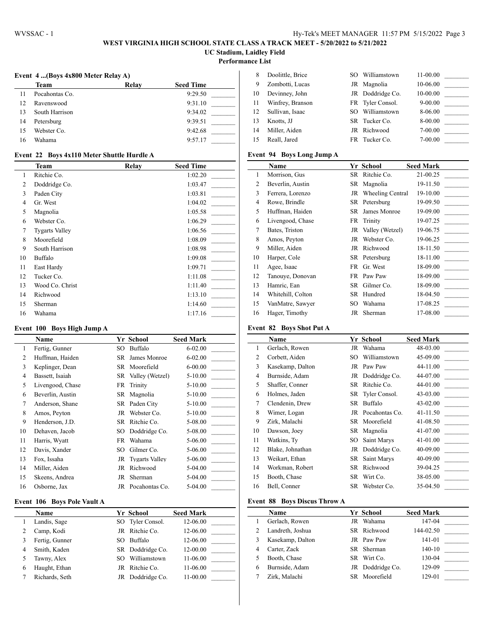### **WEST VIRGINIA HIGH SCHOOL STATE CLASS A TRACK MEET - 5/20/2022 to 5/21/2022 UC Stadium, Laidley Field**

**Performance List**

 $\overline{1}$ 

**Event 4 ...(Boys 4x800 Meter Relay A)**

|    | Team           | Relay | <b>Seed Time</b> |
|----|----------------|-------|------------------|
| 11 | Pocahontas Co. |       | 9:29.50          |
| 12 | Ravenswood     |       | 9:31.10          |
| 13 | South Harrison |       | 9:34.02          |
| 14 | Petersburg     |       | 9:39.51          |
| 15 | Webster Co.    |       | 9:42.68          |
| 16 | Wahama         |       | 9:57.17          |
|    |                |       |                  |

| 8  | Doolittle, Brice | SO. | Williamstown     | $11 - 00.00$ |  |
|----|------------------|-----|------------------|--------------|--|
| 9  | Zombotti, Lucas  |     | JR Magnolia      | 10-06.00     |  |
| 10 | Devinney, John   |     | JR Doddridge Co. | 10-00.00     |  |
| 11 | Winfrey, Branson |     | FR Tyler Consol. | $9 - 00.00$  |  |
| 12 | Sullivan, Isaac  | SO. | Williamstown     | 8-06.00      |  |
| 13 | Knotts. JJ       |     | SR Tucker Co.    | 8-00.00      |  |
| 14 | Miller, Aiden    |     | JR Richwood      | 7-00.00      |  |
| 15 | Reall, Jared     |     | FR Tucker Co.    | $7 - 00.00$  |  |

## **Event 22 Boys 4x110 Meter Shuttle Hurdle A**

|    | <b>Team</b>           | Relay | <b>Seed Time</b> |
|----|-----------------------|-------|------------------|
| 1  | Ritchie Co.           |       | 1:02.20          |
| 2  | Doddridge Co.         |       | 1:03.47          |
| 3  | Paden City            |       | 1:03.81          |
| 4  | Gr. West              |       | 1:04.02          |
| 5  | Magnolia              |       | 1:05.58          |
| 6  | Webster Co.           |       | 1:06.29          |
| 7  | <b>Tygarts Valley</b> |       | 1:06.56          |
| 8  | Moorefield            |       | 1:08.09          |
| 9  | South Harrison        |       | 1:08.98          |
| 10 | Buffalo               |       | 1:09.08          |
| 11 | East Hardy            |       | 1:09.71          |
| 12 | Tucker Co.            |       | 1:11.08          |
| 13 | Wood Co. Christ       |       | 1:11.40          |
| 14 | Richwood              |       | 1:13.10          |
| 15 | Sherman               |       | 1:14.60          |
| 16 | Wahama                |       | 1:17.16          |

#### **Event 100 Boys High Jump A**

|    | <b>Name</b>      |     | Yr School          | <b>Seed Mark</b> |
|----|------------------|-----|--------------------|------------------|
| 1  | Fertig, Gunner   | SO  | Buffalo            | $6 - 02.00$      |
| 2  | Huffman, Haiden  | SR  | James Monroe       | $6 - 02.00$      |
| 3  | Keplinger, Dean  |     | SR Moorefield      | $6 - 00.00$      |
| 4  | Bassett, Isaiah  |     | SR Valley (Wetzel) | $5 - 10.00$      |
| 5  | Livengood, Chase |     | FR Trinity         | $5 - 10.00$      |
| 6  | Beverlin, Austin |     | SR Magnolia        | $5 - 10.00$      |
| 7  | Anderson, Shane  |     | SR Paden City      | $5 - 10.00$      |
| 8  | Amos, Peyton     |     | JR Webster Co.     | $5 - 10.00$      |
| 9  | Henderson, J.D.  |     | SR Ritchie Co.     | 5-08.00          |
| 10 | Dehaven, Jacob   | SO. | Doddridge Co.      | 5-08.00          |
| 11 | Harris, Wyatt    |     | FR Wahama          | 5-06.00          |
| 12 | Davis, Xander    | SO  | Gilmer Co.         | 5-06.00          |
| 13 | Fox, Issaha      |     | JR Tygarts Valley  | 5-06.00          |
| 14 | Miller, Aiden    | JR  | Richwood           | 5-04.00          |
| 15 | Skeens, Andrea   | JR  | Sherman            | 5-04.00          |
| 16 | Osborne, Jax     |     | JR Pocahontas Co.  | $5-04.00$        |

## **Event 106 Boys Pole Vault A**

|   | Name           |     | Yr School        | <b>Seed Mark</b> |
|---|----------------|-----|------------------|------------------|
|   | Landis, Sage   |     | SO Tyler Consol. | 12-06.00         |
|   | Camp, Kodi     |     | JR Ritchie Co.   | 12-06.00         |
|   | Fertig, Gunner | SO. | Buffalo          | 12-06.00         |
| 4 | Smith, Kaden   |     | SR Doddridge Co. | 12-00.00         |
|   | Tawny, Alex    | SO. | Williamstown     | 11-06.00         |
| 6 | Haught, Ethan  |     | JR Ritchie Co.   | 11-06.00         |
|   | Richards, Seth |     | Doddridge Co.    | 11-00.00         |

## **Event 94 Boys Long Jump A**

|    | Name              |     | Yr School           | <b>Seed Mark</b> |
|----|-------------------|-----|---------------------|------------------|
| 1  | Morrison, Gus     |     | SR Ritchie Co.      | 21-00.25         |
| 2  | Beverlin, Austin  |     | SR Magnolia         | 19-11.50         |
| 3  | Ferrera, Lorenzo  |     | JR Wheeling Central | 19-10.00         |
| 4  | Rowe, Brindle     |     | SR Petersburg       | 19-09.50         |
| 5  | Huffman, Haiden   |     | SR James Monroe     | 19-09.00         |
| 6  | Livengood, Chase  |     | FR Trinity          | 19-07.25         |
| 7  | Bates, Triston    |     | JR Valley (Wetzel)  | 19-06.75         |
| 8  | Amos, Peyton      |     | JR Webster Co.      | 19-06.25         |
| 9  | Miller, Aiden     |     | JR Richwood         | 18-11.50         |
| 10 | Harper, Cole      |     | SR Petersburg       | 18-11.00         |
| 11 | Agee, Isaac       |     | FR Gr. West         | 18-09.00         |
| 12 | Tanouye, Donovan  |     | FR Paw Paw          | 18-09.00         |
| 13 | Hamric, Ean       |     | SR Gilmer Co.       | 18-09.00         |
| 14 | Whitehill, Colton | SR  | Hundred             | 18-04.50         |
| 15 | VanMatre, Sawyer  | SO. | Wahama              | 17-08.25         |
| 16 | Hager, Timothy    |     | JR Sherman          | 17-08.00         |

## **Event 82 Boys Shot Put A**

|                | <b>Name</b>      |     | Yr School         | <b>Seed Mark</b> |
|----------------|------------------|-----|-------------------|------------------|
| $\mathbf{1}$   | Gerlach, Rowen   | JR  | Wahama            | 48-03.00         |
| 2              | Corbett, Aiden   | SO. | Williamstown      | 45-09.00         |
| 3              | Kasekamp, Dalton |     | JR Paw Paw        | 44-11.00         |
| $\overline{4}$ | Burnside, Adam   |     | JR Doddridge Co.  | 44-07.00         |
| 5              | Shaffer, Conner  |     | SR Ritchie Co.    | 44-01.00         |
| 6              | Holmes, Jaden    |     | SR Tyler Consol.  | 43-03.00         |
| 7              | Clendenin, Drew  | SR. | Buffalo           | 43-02.00         |
| 8              | Wimer, Logan     |     | JR Pocahontas Co. | 41-11.50         |
| 9              | Zirk, Malachi    |     | SR Moorefield     | 41-08.50         |
| 10             | Dawson, Joey     |     | SR Magnolia       | 41-07.00         |
| 11             | Watkins, Ty      | SO. | Saint Marys       | 41-01.00         |
| 12             | Blake, Johnathan |     | JR Doddridge Co.  | 40-09.00         |
| 13             | Weikart, Ethan   |     | SR Saint Marys    | 40-09.00         |
| 14             | Workman, Robert  |     | SR Richwood       | 39-04.25         |
| 15             | Booth, Chase     |     | SR Wirt Co.       | 38-05.00         |
| 16             | Bell, Conner     | SR. | Webster Co.       | 35-04.50         |
|                |                  |     |                   |                  |

## **Event 88 Boys Discus Throw A**

|   | Name             |    | Yr School        | <b>Seed Mark</b> |  |
|---|------------------|----|------------------|------------------|--|
|   | Gerlach, Rowen   | JR | Wahama           | 147-04           |  |
|   | Landreth, Joshua |    | SR Richwood      | 144-02.50        |  |
| 3 | Kasekamp, Dalton |    | JR Paw Paw       | 141-01           |  |
| 4 | Carter, Zack     |    | SR Sherman       | $140-10$         |  |
|   | Booth, Chase     |    | SR Wirt Co.      | 130-04           |  |
| 6 | Burnside, Adam   |    | JR Doddridge Co. | 129-09           |  |
|   | Zirk, Malachi    |    | SR Moorefield    | 129-01           |  |